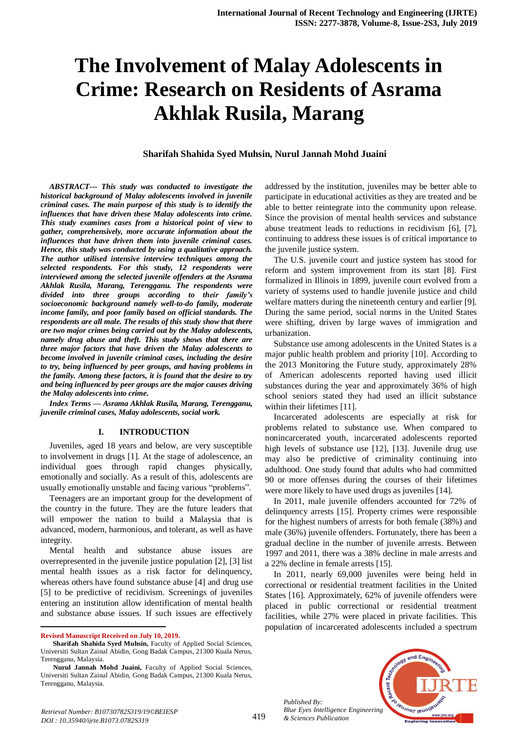# **The Involvement of Malay Adolescents in Crime: Research on Residents of Asrama Akhlak Rusila, Marang**

## **Sharifah Shahida Syed Muhsin, Nurul Jannah Mohd Juaini**

*ABSTRACT--- This study was conducted to investigate the historical background of Malay adolescents involved in juvenile criminal cases. The main purpose of this study is to identify the influences that have driven these Malay adolescents into crime. This study examines cases from a historical point of view to gather, comprehensively, more accurate information about the influences that have driven them into juvenile criminal cases. Hence, this study was conducted by using a qualitative approach. The author utilised intensive interview techniques among the selected respondents. For this study, 12 respondents were interviewed among the selected juvenile offenders at the Asrama Akhlak Rusila, Marang, Terengganu. The respondents were divided into three groups according to their family's socioeconomic background namely well-to-do family, moderate income family, and poor family based on official standards. The respondents are all male. The results of this study show that there are two major crimes being carried out by the Malay adolescents, namely drug abuse and theft. This study shows that there are three major factors that have driven the Malay adolescents to become involved in juvenile criminal cases, including the desire to try, being influenced by peer groups, and having problems in the family. Among these factors, it is found that the desire to try and being influenced by peer groups are the major causes driving the Malay adolescents into crime.*

*Index Terms — Asrama Akhlak Rusila, Marang, Terengganu, juvenile criminal cases, Malay adolescents, social work.*

#### **I. INTRODUCTION**

Juveniles, aged 18 years and below, are very susceptible to involvement in drugs [1]. At the stage of adolescence, an individual goes through rapid changes physically, emotionally and socially. As a result of this, adolescents are usually emotionally unstable and facing various "problems".

Teenagers are an important group for the development of the country in the future. They are the future leaders that will empower the nation to build a Malaysia that is advanced, modern, harmonious, and tolerant, as well as have integrity.

Mental health and substance abuse issues are overrepresented in the juvenile justice population [2], [3] list mental health issues as a risk factor for delinquency, whereas others have found substance abuse [4] and drug use [5] to be predictive of recidivism. Screenings of juveniles entering an institution allow identification of mental health and substance abuse issues. If such issues are effectively

**Revised Manuscript Received on July 10, 2019.**

 $\overline{a}$ 

addressed by the institution, juveniles may be better able to participate in educational activities as they are treated and be able to better reintegrate into the community upon release. Since the provision of mental health services and substance abuse treatment leads to reductions in recidivism [6], [7], continuing to address these issues is of critical importance to the juvenile justice system.

The U.S. juvenile court and justice system has stood for reform and system improvement from its start [8]. First formalized in Illinois in 1899, juvenile court evolved from a variety of systems used to handle juvenile justice and child welfare matters during the nineteenth century and earlier [9]. During the same period, social norms in the United States were shifting, driven by large waves of immigration and urbanization.

Substance use among adolescents in the United States is a major public health problem and priority [10]. According to the 2013 Monitoring the Future study, approximately 28% of American adolescents reported having used illicit substances during the year and approximately 36% of high school seniors stated they had used an illicit substance within their lifetimes [11].

Incarcerated adolescents are especially at risk for problems related to substance use. When compared to nonincarcerated youth, incarcerated adolescents reported high levels of substance use [12], [13]. Juvenile drug use may also be predictive of criminality continuing into adulthood. One study found that adults who had committed 90 or more offenses during the courses of their lifetimes were more likely to have used drugs as juveniles [14].

In 2011, male juvenile offenders accounted for 72% of delinquency arrests [15]. Property crimes were responsible for the highest numbers of arrests for both female (38%) and male (36%) juvenile offenders. Fortunately, there has been a gradual decline in the number of juvenile arrests. Between 1997 and 2011, there was a 38% decline in male arrests and a 22% decline in female arrests [15].

In 2011, nearly 69,000 juveniles were being held in correctional or residential treatment facilities in the United States [16]. Approximately, 62% of juvenile offenders were placed in public correctional or residential treatment facilities, while 27% were placed in private facilities. This population of incarcerated adolescents included a spectrum



*Published By:*

**Sharifah Shahida Syed Muhsin,** Faculty of Applied Social Sciences, Universiti Sultan Zainal Abidin, Gong Badak Campus, 21300 Kuala Nerus, Terengganu, Malaysia.

**Nurul Jannah Mohd Juaini,** Faculty of Applied Social Sciences, Universiti Sultan Zainal Abidin, Gong Badak Campus, 21300 Kuala Nerus, Terengganu, Malaysia.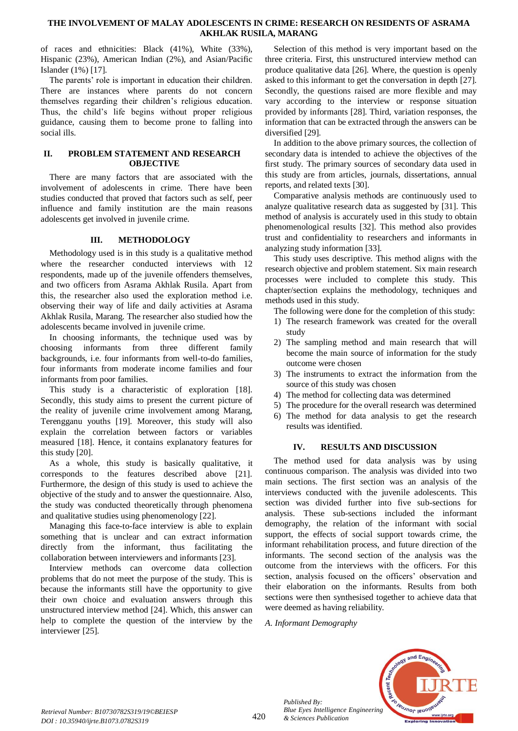of races and ethnicities: Black (41%), White (33%), Hispanic (23%), American Indian (2%), and Asian/Pacific Islander (1%) [17].

The parents' role is important in education their children. There are instances where parents do not concern themselves regarding their children's religious education. Thus, the child's life begins without proper religious guidance, causing them to become prone to falling into social ills.

#### **II. PROBLEM STATEMENT AND RESEARCH OBJECTIVE**

There are many factors that are associated with the involvement of adolescents in crime. There have been studies conducted that proved that factors such as self, peer influence and family institution are the main reasons adolescents get involved in juvenile crime.

# **III. METHODOLOGY**

Methodology used is in this study is a qualitative method where the researcher conducted interviews with 12 respondents, made up of the juvenile offenders themselves, and two officers from Asrama Akhlak Rusila. Apart from this, the researcher also used the exploration method i.e. observing their way of life and daily activities at Asrama Akhlak Rusila, Marang. The researcher also studied how the adolescents became involved in juvenile crime.

In choosing informants, the technique used was by choosing informants from three different family backgrounds, i.e. four informants from well-to-do families, four informants from moderate income families and four informants from poor families.

This study is a characteristic of exploration [18]. Secondly, this study aims to present the current picture of the reality of juvenile crime involvement among Marang, Terengganu youths [19]. Moreover, this study will also explain the correlation between factors or variables measured [18]. Hence, it contains explanatory features for this study [20].

As a whole, this study is basically qualitative, it corresponds to the features described above [21]. Furthermore, the design of this study is used to achieve the objective of the study and to answer the questionnaire. Also, the study was conducted theoretically through phenomena and qualitative studies using phenomenology [22].

Managing this face-to-face interview is able to explain something that is unclear and can extract information directly from the informant, thus facilitating the collaboration between interviewers and informants [23].

Interview methods can overcome data collection problems that do not meet the purpose of the study. This is because the informants still have the opportunity to give their own choice and evaluation answers through this unstructured interview method [24]. Which, this answer can help to complete the question of the interview by the interviewer [25].

Selection of this method is very important based on the three criteria. First, this unstructured interview method can produce qualitative data [26]. Where, the question is openly asked to this informant to get the conversation in depth [27]. Secondly, the questions raised are more flexible and may vary according to the interview or response situation provided by informants [28]. Third, variation responses, the information that can be extracted through the answers can be diversified [29].

In addition to the above primary sources, the collection of secondary data is intended to achieve the objectives of the first study. The primary sources of secondary data used in this study are from articles, journals, dissertations, annual reports, and related texts [30].

Comparative analysis methods are continuously used to analyze qualitative research data as suggested by [31]. This method of analysis is accurately used in this study to obtain phenomenological results [32]. This method also provides trust and confidentiality to researchers and informants in analyzing study information [33].

This study uses descriptive. This method aligns with the research objective and problem statement. Six main research processes were included to complete this study. This chapter/section explains the methodology, techniques and methods used in this study.

The following were done for the completion of this study:

- 1) The research framework was created for the overall study
- 2) The sampling method and main research that will become the main source of information for the study outcome were chosen
- 3) The instruments to extract the information from the source of this study was chosen
- 4) The method for collecting data was determined
- 5) The procedure for the overall research was determined
- 6) The method for data analysis to get the research results was identified.

# **IV. RESULTS AND DISCUSSION**

The method used for data analysis was by using continuous comparison. The analysis was divided into two main sections. The first section was an analysis of the interviews conducted with the juvenile adolescents. This section was divided further into five sub-sections for analysis. These sub-sections included the informant demography, the relation of the informant with social support, the effects of social support towards crime, the informant rehabilitation process, and future direction of the informants. The second section of the analysis was the outcome from the interviews with the officers. For this section, analysis focused on the officers' observation and their elaboration on the informants. Results from both sections were then synthesised together to achieve data that were deemed as having reliability.

*A. Informant Demography*

*Published By:*

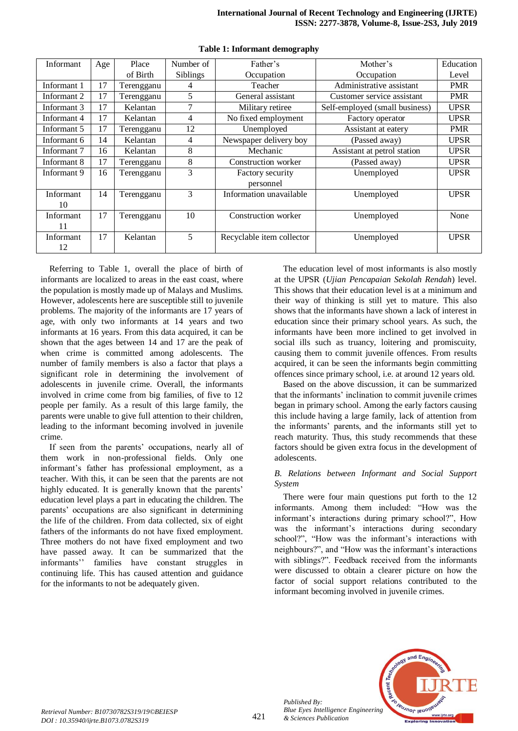| Informant   | Age | Place      | Number of       | Father's                  | Mother's                       | Education   |
|-------------|-----|------------|-----------------|---------------------------|--------------------------------|-------------|
|             |     | of Birth   | <b>Siblings</b> | Occupation                | Occupation                     | Level       |
| Informant 1 | 17  | Terengganu | 4               | Teacher                   | Administrative assistant       | <b>PMR</b>  |
| Informant 2 | 17  | Terengganu | 5               | General assistant         | Customer service assistant     | <b>PMR</b>  |
| Informant 3 | 17  | Kelantan   | 7               | Military retiree          | Self-employed (small business) | <b>UPSR</b> |
| Informant 4 | 17  | Kelantan   | 4               | No fixed employment       | Factory operator               | <b>UPSR</b> |
| Informant 5 | 17  | Terengganu | 12              | Unemployed                | Assistant at eatery            | <b>PMR</b>  |
| Informant 6 | 14  | Kelantan   | 4               | Newspaper delivery boy    | (Passed away)                  | <b>UPSR</b> |
| Informant 7 | 16  | Kelantan   | 8               | Mechanic                  | Assistant at petrol station    | <b>UPSR</b> |
| Informant 8 | 17  | Terengganu | 8               | Construction worker       | (Passed away)                  | <b>UPSR</b> |
| Informant 9 | 16  | Terengganu | 3               | Factory security          | Unemployed                     | <b>UPSR</b> |
|             |     |            |                 | personnel                 |                                |             |
| Informant   | 14  | Terengganu | 3               | Information unavailable   | Unemployed                     | <b>UPSR</b> |
| 10          |     |            |                 |                           |                                |             |
| Informant   | 17  | Terengganu | 10              | Construction worker       | Unemployed                     | None        |
| 11          |     |            |                 |                           |                                |             |
| Informant   | 17  | Kelantan   | 5               | Recyclable item collector | Unemployed                     | <b>UPSR</b> |
| 12          |     |            |                 |                           |                                |             |

**Table 1: Informant demography**

Referring to Table 1, overall the place of birth of informants are localized to areas in the east coast, where the population is mostly made up of Malays and Muslims. However, adolescents here are susceptible still to juvenile problems. The majority of the informants are 17 years of age, with only two informants at 14 years and two informants at 16 years. From this data acquired, it can be shown that the ages between 14 and 17 are the peak of when crime is committed among adolescents. The number of family members is also a factor that plays a significant role in determining the involvement of adolescents in juvenile crime. Overall, the informants involved in crime come from big families, of five to 12 people per family. As a result of this large family, the parents were unable to give full attention to their children, leading to the informant becoming involved in juvenile crime.

If seen from the parents' occupations, nearly all of them work in non-professional fields. Only one informant's father has professional employment, as a teacher. With this, it can be seen that the parents are not highly educated. It is generally known that the parents' education level plays a part in educating the children. The parents' occupations are also significant in determining the life of the children. From data collected, six of eight fathers of the informants do not have fixed employment. Three mothers do not have fixed employment and two have passed away. It can be summarized that the informants'' families have constant struggles in continuing life. This has caused attention and guidance for the informants to not be adequately given.

The education level of most informants is also mostly at the UPSR (*Ujian Pencapaian Sekolah Rendah*) level. This shows that their education level is at a minimum and their way of thinking is still yet to mature. This also shows that the informants have shown a lack of interest in education since their primary school years. As such, the informants have been more inclined to get involved in social ills such as truancy, loitering and promiscuity, causing them to commit juvenile offences. From results acquired, it can be seen the informants begin committing offences since primary school, i.e. at around 12 years old.

Based on the above discussion, it can be summarized that the informants' inclination to commit juvenile crimes began in primary school. Among the early factors causing this include having a large family, lack of attention from the informants' parents, and the informants still yet to reach maturity. Thus, this study recommends that these factors should be given extra focus in the development of adolescents.

## *B. Relations between Informant and Social Support System*

There were four main questions put forth to the 12 informants. Among them included: "How was the informant's interactions during primary school?", How was the informant's interactions during secondary school?", "How was the informant's interactions with neighbours?", and "How was the informant's interactions with siblings?". Feedback received from the informants were discussed to obtain a clearer picture on how the factor of social support relations contributed to the informant becoming involved in juvenile crimes.



*Published By:*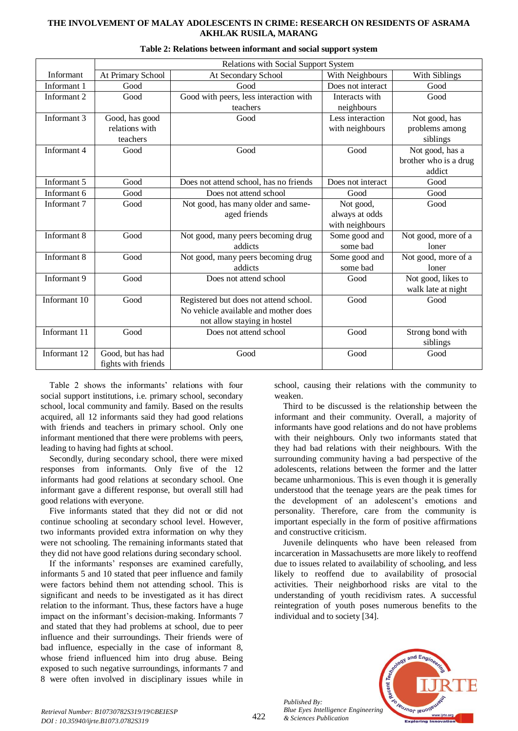|              | Relations with Social Support System |                                        |                   |                       |
|--------------|--------------------------------------|----------------------------------------|-------------------|-----------------------|
| Informant    | At Primary School                    | At Secondary School                    | With Neighbours   | With Siblings         |
| Informant 1  | Good                                 | Good                                   | Does not interact | Good                  |
| Informant 2  | Good                                 | Good with peers, less interaction with | Interacts with    | Good                  |
|              |                                      | teachers                               | neighbours        |                       |
| Informant 3  | Good, has good                       | Good                                   | Less interaction  | Not good, has         |
|              | relations with                       |                                        | with neighbours   | problems among        |
|              | teachers                             |                                        |                   | siblings              |
| Informant 4  | Good                                 | Good                                   | Good              | Not good, has a       |
|              |                                      |                                        |                   | brother who is a drug |
|              |                                      |                                        |                   | addict                |
| Informant 5  | Good                                 | Does not attend school, has no friends | Does not interact | Good                  |
| Informant 6  | Good                                 | Does not attend school                 | Good              | Good                  |
| Informant 7  | Good                                 | Not good, has many older and same-     | Not good,         | Good                  |
|              |                                      | aged friends                           | always at odds    |                       |
|              |                                      |                                        | with neighbours   |                       |
| Informant 8  | Good                                 | Not good, many peers becoming drug     | Some good and     | Not good, more of a   |
|              |                                      | addicts                                | some bad          | loner                 |
| Informant 8  | Good                                 | Not good, many peers becoming drug     | Some good and     | Not good, more of a   |
|              |                                      | addicts                                | some bad          | loner                 |
| Informant 9  | Good                                 | Does not attend school                 | Good              | Not good, likes to    |
|              |                                      |                                        |                   | walk late at night    |
| Informant 10 | Good                                 | Registered but does not attend school. | Good              | Good                  |
|              |                                      | No vehicle available and mother does   |                   |                       |
|              |                                      | not allow staying in hostel            |                   |                       |
| Informant 11 | Good                                 | Does not attend school                 | Good              | Strong bond with      |
|              |                                      |                                        |                   | siblings              |
| Informant 12 | Good, but has had                    | Good                                   | Good              | Good                  |
|              | fights with friends                  |                                        |                   |                       |

#### **Table 2: Relations between informant and social support system**

Table 2 shows the informants' relations with four social support institutions, i.e. primary school, secondary school, local community and family. Based on the results acquired, all 12 informants said they had good relations with friends and teachers in primary school. Only one informant mentioned that there were problems with peers, leading to having had fights at school.

Secondly, during secondary school, there were mixed responses from informants. Only five of the 12 informants had good relations at secondary school. One informant gave a different response, but overall still had good relations with everyone.

Five informants stated that they did not or did not continue schooling at secondary school level. However, two informants provided extra information on why they were not schooling. The remaining informants stated that they did not have good relations during secondary school.

If the informants' responses are examined carefully, informants 5 and 10 stated that peer influence and family were factors behind them not attending school. This is significant and needs to be investigated as it has direct relation to the informant. Thus, these factors have a huge impact on the informant's decision-making. Informants 7 and stated that they had problems at school, due to peer influence and their surroundings. Their friends were of bad influence, especially in the case of informant 8, whose friend influenced him into drug abuse. Being exposed to such negative surroundings, informants 7 and 8 were often involved in disciplinary issues while in

school, causing their relations with the community to weaken.

Third to be discussed is the relationship between the informant and their community. Overall, a majority of informants have good relations and do not have problems with their neighbours. Only two informants stated that they had bad relations with their neighbours. With the surrounding community having a bad perspective of the adolescents, relations between the former and the latter became unharmonious. This is even though it is generally understood that the teenage years are the peak times for the development of an adolescent's emotions and personality. Therefore, care from the community is important especially in the form of positive affirmations and constructive criticism.

Juvenile delinquents who have been released from incarceration in Massachusetts are more likely to reoffend due to issues related to availability of schooling, and less likely to reoffend due to availability of prosocial activities. Their neighborhood risks are vital to the understanding of youth recidivism rates. A successful reintegration of youth poses numerous benefits to the individual and to society [34].



*Published By:*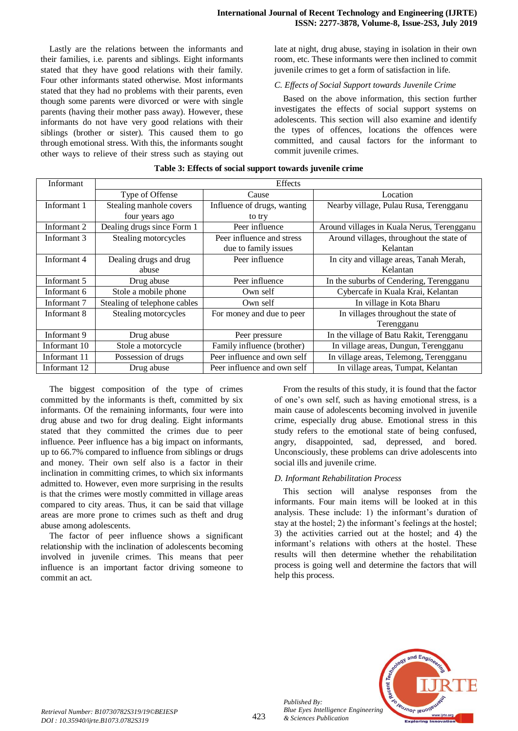Lastly are the relations between the informants and their families, i.e. parents and siblings. Eight informants stated that they have good relations with their family. Four other informants stated otherwise. Most informants stated that they had no problems with their parents, even though some parents were divorced or were with single parents (having their mother pass away). However, these informants do not have very good relations with their siblings (brother or sister). This caused them to go through emotional stress. With this, the informants sought other ways to relieve of their stress such as staying out late at night, drug abuse, staying in isolation in their own room, etc. These informants were then inclined to commit juvenile crimes to get a form of satisfaction in life.

#### *C. Effects of Social Support towards Juvenile Crime*

Based on the above information, this section further investigates the effects of social support systems on adolescents. This section will also examine and identify the types of offences, locations the offences were committed, and causal factors for the informant to commit juvenile crimes.

| Informant    | <b>Effects</b>               |                             |                                            |  |
|--------------|------------------------------|-----------------------------|--------------------------------------------|--|
|              | Type of Offense              | Cause                       | Location                                   |  |
| Informant 1  | Stealing manhole covers      | Influence of drugs, wanting | Nearby village, Pulau Rusa, Terengganu     |  |
|              | four years ago               | to try                      |                                            |  |
| Informant 2  | Dealing drugs since Form 1   | Peer influence              | Around villages in Kuala Nerus, Terengganu |  |
| Informant 3  | Stealing motorcycles         | Peer influence and stress   | Around villages, throughout the state of   |  |
|              |                              | due to family issues        | Kelantan                                   |  |
| Informant 4  | Dealing drugs and drug       | Peer influence              | In city and village areas, Tanah Merah,    |  |
|              | abuse                        |                             | Kelantan                                   |  |
| Informant 5  | Drug abuse                   | Peer influence              | In the suburbs of Cendering, Terengganu    |  |
| Informant 6  | Stole a mobile phone         | Own self                    | Cybercafe in Kuala Krai, Kelantan          |  |
| Informant 7  | Stealing of telephone cables | Own self                    | In village in Kota Bharu                   |  |
| Informant 8  | Stealing motorcycles         | For money and due to peer   | In villages throughout the state of        |  |
|              |                              |                             | Terengganu                                 |  |
| Informant 9  | Drug abuse                   | Peer pressure               | In the village of Batu Rakit, Terengganu   |  |
| Informant 10 | Stole a motorcycle           | Family influence (brother)  | In village areas, Dungun, Terengganu       |  |
| Informant 11 | Possession of drugs          | Peer influence and own self | In village areas, Telemong, Terengganu     |  |
| Informant 12 | Drug abuse                   | Peer influence and own self | In village areas, Tumpat, Kelantan         |  |

## **Table 3: Effects of social support towards juvenile crime**

The biggest composition of the type of crimes committed by the informants is theft, committed by six informants. Of the remaining informants, four were into drug abuse and two for drug dealing. Eight informants stated that they committed the crimes due to peer influence. Peer influence has a big impact on informants, up to 66.7% compared to influence from siblings or drugs and money. Their own self also is a factor in their inclination in committing crimes, to which six informants admitted to. However, even more surprising in the results is that the crimes were mostly committed in village areas compared to city areas. Thus, it can be said that village areas are more prone to crimes such as theft and drug abuse among adolescents.

The factor of peer influence shows a significant relationship with the inclination of adolescents becoming involved in juvenile crimes. This means that peer influence is an important factor driving someone to commit an act.

From the results of this study, it is found that the factor of one's own self, such as having emotional stress, is a main cause of adolescents becoming involved in juvenile crime, especially drug abuse. Emotional stress in this study refers to the emotional state of being confused, angry, disappointed, sad, depressed, and bored. Unconsciously, these problems can drive adolescents into social ills and juvenile crime.

#### *D. Informant Rehabilitation Process*

This section will analyse responses from the informants. Four main items will be looked at in this analysis. These include: 1) the informant's duration of stay at the hostel; 2) the informant's feelings at the hostel; 3) the activities carried out at the hostel; and 4) the informant's relations with others at the hostel. These results will then determine whether the rehabilitation process is going well and determine the factors that will help this process.



*Published By:*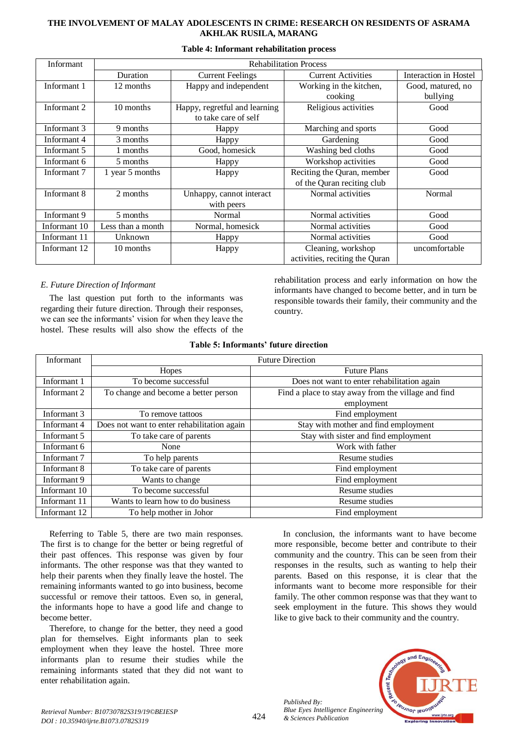| Informant    | <b>Rehabilitation Process</b> |                               |                                |                       |
|--------------|-------------------------------|-------------------------------|--------------------------------|-----------------------|
|              | Duration                      | <b>Current Feelings</b>       | <b>Current Activities</b>      | Interaction in Hostel |
| Informant 1  | 12 months                     | Happy and independent         | Working in the kitchen,        | Good, matured, no     |
|              |                               |                               | cooking                        | bullying              |
| Informant 2  | 10 months                     | Happy, regretful and learning | Religious activities           | Good                  |
|              |                               | to take care of self          |                                |                       |
| Informant 3  | 9 months                      | Happy                         | Marching and sports            | Good                  |
| Informant 4  | 3 months                      | Happy                         | Gardening                      | Good                  |
| Informant 5  | 1 months                      | Good, homesick                | Washing bed cloths             | Good                  |
| Informant 6  | 5 months                      | Happy                         | Workshop activities            | Good                  |
| Informant 7  | 1 year 5 months               | Happy                         | Reciting the Quran, member     | Good                  |
|              |                               |                               | of the Quran reciting club     |                       |
| Informant 8  | 2 months                      | Unhappy, cannot interact      | Normal activities              | Normal                |
|              |                               | with peers                    |                                |                       |
| Informant 9  | 5 months                      | Normal                        | Normal activities              | Good                  |
| Informant 10 | Less than a month             | Normal, homesick              | Normal activities              | Good                  |
| Informant 11 | Unknown                       | Happy                         | Normal activities              | Good                  |
| Informant 12 | 10 months                     | Happy                         | Cleaning, workshop             | uncomfortable         |
|              |                               |                               | activities, reciting the Quran |                       |

#### **Table 4: Informant rehabilitation process**

## *E. Future Direction of Informant*

The last question put forth to the informants was regarding their future direction. Through their responses, we can see the informants' vision for when they leave the hostel. These results will also show the effects of the

rehabilitation process and early information on how the informants have changed to become better, and in turn be responsible towards their family, their community and the country.

| Table 5: Informants' future direction |  |  |
|---------------------------------------|--|--|
|---------------------------------------|--|--|

| Informant    | <b>Future Direction</b>                     |                                                     |  |
|--------------|---------------------------------------------|-----------------------------------------------------|--|
|              | Hopes                                       | <b>Future Plans</b>                                 |  |
| Informant 1  | To become successful                        | Does not want to enter rehabilitation again         |  |
| Informant 2  | To change and become a better person        | Find a place to stay away from the village and find |  |
|              |                                             | employment                                          |  |
| Informant 3  | To remove tattoos                           | Find employment                                     |  |
| Informant 4  | Does not want to enter rehabilitation again | Stay with mother and find employment                |  |
| Informant 5  | To take care of parents                     | Stay with sister and find employment                |  |
| Informant 6  | None                                        | Work with father                                    |  |
| Informant 7  | To help parents                             | Resume studies                                      |  |
| Informant 8  | To take care of parents                     | Find employment                                     |  |
| Informant 9  | Wants to change                             | Find employment                                     |  |
| Informant 10 | To become successful                        | Resume studies                                      |  |
| Informant 11 | Wants to learn how to do business           | Resume studies                                      |  |
| Informant 12 | To help mother in Johor                     | Find employment                                     |  |

Referring to Table 5, there are two main responses. The first is to change for the better or being regretful of their past offences. This response was given by four informants. The other response was that they wanted to help their parents when they finally leave the hostel. The remaining informants wanted to go into business, become successful or remove their tattoos. Even so, in general, the informants hope to have a good life and change to become better.

Therefore, to change for the better, they need a good plan for themselves. Eight informants plan to seek employment when they leave the hostel. Three more informants plan to resume their studies while the remaining informants stated that they did not want to enter rehabilitation again.

In conclusion, the informants want to have become more responsible, become better and contribute to their community and the country. This can be seen from their responses in the results, such as wanting to help their parents. Based on this response, it is clear that the informants want to become more responsible for their family. The other common response was that they want to seek employment in the future. This shows they would like to give back to their community and the country.



*Published By:*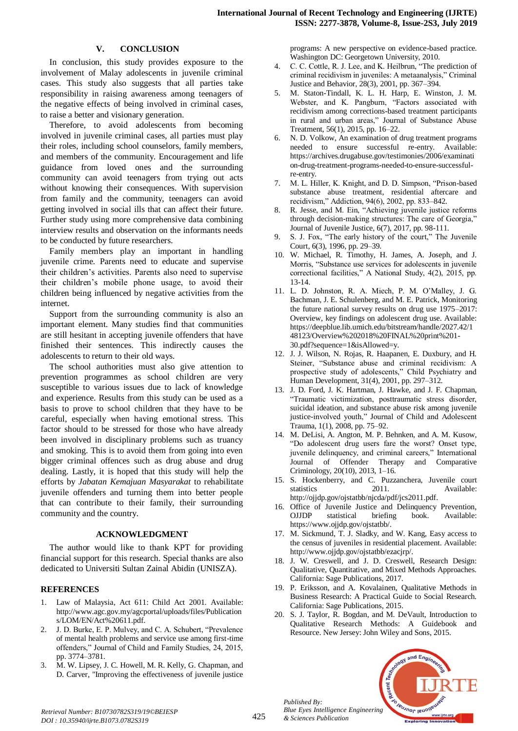## **V. CONCLUSION**

In conclusion, this study provides exposure to the involvement of Malay adolescents in juvenile criminal cases. This study also suggests that all parties take responsibility in raising awareness among teenagers of the negative effects of being involved in criminal cases, to raise a better and visionary generation.

Therefore, to avoid adolescents from becoming involved in juvenile criminal cases, all parties must play their roles, including school counselors, family members, and members of the community. Encouragement and life guidance from loved ones and the surrounding community can avoid teenagers from trying out acts without knowing their consequences. With supervision from family and the community, teenagers can avoid getting involved in social ills that can affect their future. Further study using more comprehensive data combining interview results and observation on the informants needs to be conducted by future researchers.

Family members play an important in handling juvenile crime. Parents need to educate and supervise their children's activities. Parents also need to supervise their children's mobile phone usage, to avoid their children being influenced by negative activities from the internet.

Support from the surrounding community is also an important element. Many studies find that communities are still hesitant in accepting juvenile offenders that have finished their sentences. This indirectly causes the adolescents to return to their old ways.

The school authorities must also give attention to prevention programmes as school children are very susceptible to various issues due to lack of knowledge and experience. Results from this study can be used as a basis to prove to school children that they have to be careful, especially when having emotional stress. This factor should to be stressed for those who have already been involved in disciplinary problems such as truancy and smoking. This is to avoid them from going into even bigger criminal offences such as drug abuse and drug dealing. Lastly, it is hoped that this study will help the efforts by *Jabatan Kemajuan Masyarakat* to rehabilitate juvenile offenders and turning them into better people that can contribute to their family, their surrounding community and the country.

#### **ACKNOWLEDGMENT**

The author would like to thank KPT for providing financial support for this research. Special thanks are also dedicated to Universiti Sultan Zainal Abidin (UNISZA).

#### **REFERENCES**

- 1. Law of Malaysia, Act 611: Child Act 2001. Available: http://www.agc.gov.my/agcportal/uploads/files/Publication s/LOM/EN/Act%20611.pdf.
- 2. J. D. Burke, E. P. Mulvey, and C. A. Schubert, "Prevalence of mental health problems and service use among first-time offenders," Journal of Child and Family Studies, 24, 2015, pp. 3774–3781.
- 3. M. W. Lipsey, J. C. Howell, M. R. Kelly, G. Chapman, and D. Carver, "Improving the effectiveness of juvenile justice

programs: A new perspective on evidence-based practice. Washington DC: Georgetown University, 2010.

- 4. C. C. Cottle, R. J. Lee, and K. Heilbrun, "The prediction of criminal recidivism in juveniles: A metaanalysis," Criminal Justice and Behavior, 28(3), 2001, pp. 367–394.
- 5. M. Staton-Tindall, K. L. H. Harp, E. Winston, J. M. Webster, and K. Pangburn, "Factors associated with recidivism among corrections-based treatment participants in rural and urban areas," Journal of Substance Abuse Treatment, 56(1), 2015, pp. 16–22.
- 6. N. D. Volkow, An examination of drug treatment programs needed to ensure successful re-entry. Available: https://archives.drugabuse.gov/testimonies/2006/examinati on-drug-treatment-programs-needed-to-ensure-successfulre-entry.
- 7. M. L. Hiller, K. Knight, and D. D. Simpson, "Prison-based substance abuse treatment, residential aftercare and recidivism," Addiction, 94(6), 2002, pp. 833–842.
- 8. R. Jesse, and M. Ein, "Achieving juvenile justice reforms through decision-making structures: The care of Georgia,' Journal of Juvenile Justice, 6(7), 2017, pp. 98-111.
- 9. S. J. Fox, "The early history of the court," The Juvenile Court, 6(3), 1996, pp. 29–39.
- 10. W. Michael, R. Timothy, H. James, A. Joseph, and J. Morris, "Substance use services for adolescents in juvenile correctional facilities," A National Study, 4(2), 2015, pp. 13-14.
- 11. L. D. Johnston, R. A. Miech, P. M. O'Malley, J. G. Bachman, J. E. Schulenberg, and M. E. Patrick, Monitoring the future national survey results on drug use 1975–2017: Overview, key findings on adolescent drug use. Available: https://deepblue.lib.umich.edu/bitstream/handle/2027.42/1 48123/Overview%202018%20FINAL%20print%201- 30.pdf?sequence=1&isAllowed=y.
- 12. J. J. Wilson, N. Rojas, R. Haapanen, E. Duxbury, and H. Steiner, "Substance abuse and criminal recidivism: A prospective study of adolescents," Child Psychiatry and Human Development, 31(4), 2001, pp. 297–312.
- 13. J. D. Ford, J. K. Hartman, J. Hawke, and J. F. Chapman, "Traumatic victimization, posttraumatic stress disorder, suicidal ideation, and substance abuse risk among juvenile justice-involved youth," Journal of Child and Adolescent Trauma, 1(1), 2008, pp. 75–92.
- 14. M. DeLisi, A. Angton, M. P. Behnken, and A. M. Kusow, "Do adolescent drug users fare the worst? Onset type, juvenile delinquency, and criminal careers," International Journal of Offender Therapy and Comparative Criminology, 20(10), 2013, 1–16.
- 15. S. Hockenberry, and C. Puzzanchera, Juvenile court statistics 2011. Available: [http://ojjdp.gov/ojstatbb/njcda/pdf/jcs2011.pdf.](http://ojjdp.gov/ojstatbb/njcda/pdf/jcs2011.pdf)
- 16. Office of Juvenile Justice and Delinquency Prevention, OJJDP statistical briefing book. Available: https://www.ojjdp.gov/ojstatbb/.
- 17. M. Sickmund, T. J. Sladky, and W. Kang, Easy access to the census of juveniles in residential placement. Available: [http://www.ojjdp.gov/ojstatbb/ezacjrp/.](http://www.ojjdp.gov/ojstatbb/ezacjrp/)
- 18. J. W. Creswell, and J. D. Creswell, Research Design: Qualitative, Quantitative, and Mixed Methods Approaches. California: Sage Publications, 2017.
- 19. P. Eriksson, and A. Kovalainen, Qualitative Methods in Business Research: A Practical Guide to Social Research. California: Sage Publications, 2015.
- 20. S. J. Taylor, R. Bogdan, and M. DeVault, Introduction to Qualitative Research Methods: A Guidebook and Resource. New Jersey: John Wiley and Sons, 2015.



*Retrieval Number: B10730782S319/19©BEIESP DOI : 10.35940/ijrte.B1073.0782S319*

*Published By:*